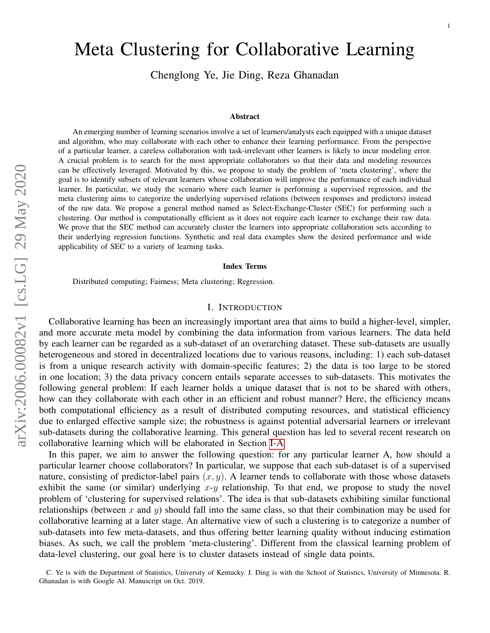# Meta Clustering for Collaborative Learning

Chenglong Ye, Jie Ding, Reza Ghanadan

#### Abstract

An emerging number of learning scenarios involve a set of learners/analysts each equipped with a unique dataset and algorithm, who may collaborate with each other to enhance their learning performance. From the perspective of a particular learner, a careless collaboration with task-irrelevant other learners is likely to incur modeling error. A crucial problem is to search for the most appropriate collaborators so that their data and modeling resources can be effectively leveraged. Motivated by this, we propose to study the problem of 'meta clustering', where the goal is to identify subsets of relevant learners whose collaboration will improve the performance of each individual learner. In particular, we study the scenario where each learner is performing a supervised regression, and the meta clustering aims to categorize the underlying supervised relations (between responses and predictors) instead of the raw data. We propose a general method named as Select-Exchange-Cluster (SEC) for performing such a clustering. Our method is computationally efficient as it does not require each learner to exchange their raw data. We prove that the SEC method can accurately cluster the learners into appropriate collaboration sets according to their underlying regression functions. Synthetic and real data examples show the desired performance and wide applicability of SEC to a variety of learning tasks.

#### Index Terms

Distributed computing; Fairness; Meta clustering; Regression.

## I. INTRODUCTION

Collaborative learning has been an increasingly important area that aims to build a higher-level, simpler, and more accurate meta model by combining the data information from various learners. The data held by each learner can be regarded as a sub-dataset of an overarching dataset. These sub-datasets are usually heterogeneous and stored in decentralized locations due to various reasons, including: 1) each sub-dataset is from a unique research activity with domain-specific features; 2) the data is too large to be stored in one location; 3) the data privacy concern entails separate accesses to sub-datasets. This motivates the following general problem: If each learner holds a unique dataset that is not to be shared with others, how can they collaborate with each other in an efficient and robust manner? Here, the efficiency means both computational efficiency as a result of distributed computing resources, and statistical efficiency due to enlarged effective sample size; the robustness is against potential adversarial learners or irrelevant sub-datasets during the collaborative learning. This general question has led to several recent research on collaborative learning which will be elaborated in Section [I-A.](#page-1-0)

In this paper, we aim to answer the following question: for any particular learner A, how should a particular learner choose collaborators? In particular, we suppose that each sub-dataset is of a supervised nature, consisting of predictor-label pairs  $(x, y)$ . A learner tends to collaborate with those whose datasets exhibit the same (or similar) underlying  $x-y$  relationship. To that end, we propose to study the novel problem of 'clustering for supervised relations'. The idea is that sub-datasets exhibiting similar functional relationships (between x and y) should fall into the same class, so that their combination may be used for collaborative learning at a later stage. An alternative view of such a clustering is to categorize a number of sub-datasets into few meta-datasets, and thus offering better learning quality without inducing estimation biases. As such, we call the problem 'meta-clustering'. Different from the classical learning problem of data-level clustering, our goal here is to cluster datasets instead of single data points.

C. Ye is with the Department of Statistics, University of Kentucky. J. Ding is with the School of Statistics, University of Minnesota. R. Ghanadan is with Google AI. Manuscript on Oct. 2019.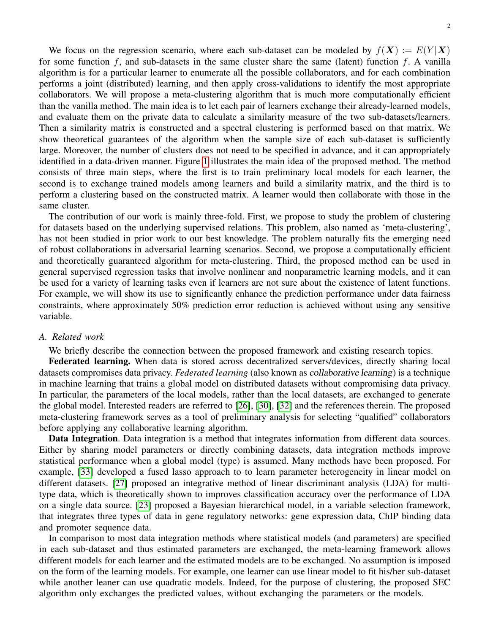$\mathfrak{D}$ 

We focus on the regression scenario, where each sub-dataset can be modeled by  $f(X) := E(Y|X)$ for some function  $f$ , and sub-datasets in the same cluster share the same (latent) function  $f$ . A vanilla algorithm is for a particular learner to enumerate all the possible collaborators, and for each combination performs a joint (distributed) learning, and then apply cross-validations to identify the most appropriate collaborators. We will propose a meta-clustering algorithm that is much more computationally efficient than the vanilla method. The main idea is to let each pair of learners exchange their already-learned models, and evaluate them on the private data to calculate a similarity measure of the two sub-datasets/learners. Then a similarity matrix is constructed and a spectral clustering is performed based on that matrix. We show theoretical guarantees of the algorithm when the sample size of each sub-dataset is sufficiently large. Moreover, the number of clusters does not need to be specified in advance, and it can appropriately identified in a data-driven manner. Figure [1](#page-2-0) illustrates the main idea of the proposed method. The method consists of three main steps, where the first is to train preliminary local models for each learner, the second is to exchange trained models among learners and build a similarity matrix, and the third is to perform a clustering based on the constructed matrix. A learner would then collaborate with those in the same cluster.

The contribution of our work is mainly three-fold. First, we propose to study the problem of clustering for datasets based on the underlying supervised relations. This problem, also named as 'meta-clustering', has not been studied in prior work to our best knowledge. The problem naturally fits the emerging need of robust collaborations in adversarial learning scenarios. Second, we propose a computationally efficient and theoretically guaranteed algorithm for meta-clustering. Third, the proposed method can be used in general supervised regression tasks that involve nonlinear and nonparametric learning models, and it can be used for a variety of learning tasks even if learners are not sure about the existence of latent functions. For example, we will show its use to significantly enhance the prediction performance under data fairness constraints, where approximately 50% prediction error reduction is achieved without using any sensitive variable.

# <span id="page-1-0"></span>*A. Related work*

We briefly describe the connection between the proposed framework and existing research topics.

Federated learning. When data is stored across decentralized servers/devices, directly sharing local datasets compromises data privacy. *Federated learning* (also known as collaborative learning) is a technique in machine learning that trains a global model on distributed datasets without compromising data privacy. In particular, the parameters of the local models, rather than the local datasets, are exchanged to generate the global model. Interested readers are referred to [\[26\]](#page-13-0), [\[30\]](#page-13-1), [\[32\]](#page-13-2) and the references therein. The proposed meta-clustering framework serves as a tool of preliminary analysis for selecting "qualified" collaborators before applying any collaborative learning algorithm.

Data Integration. Data integration is a method that integrates information from different data sources. Either by sharing model parameters or directly combining datasets, data integration methods improve statistical performance when a global model (type) is assumed. Many methods have been proposed. For example, [\[33\]](#page-13-3) developed a fused lasso approach to to learn parameter heterogeneity in linear model on different datasets. [\[27\]](#page-13-4) proposed an integrative method of linear discriminant analysis (LDA) for multitype data, which is theoretically shown to improves classification accuracy over the performance of LDA on a single data source. [\[23\]](#page-13-5) proposed a Bayesian hierarchical model, in a variable selection framework, that integrates three types of data in gene regulatory networks: gene expression data, ChIP binding data and promoter sequence data.

In comparison to most data integration methods where statistical models (and parameters) are specified in each sub-dataset and thus estimated parameters are exchanged, the meta-learning framework allows different models for each learner and the estimated models are to be exchanged. No assumption is imposed on the form of the learning models. For example, one learner can use linear model to fit his/her sub-dataset while another leaner can use quadratic models. Indeed, for the purpose of clustering, the proposed SEC algorithm only exchanges the predicted values, without exchanging the parameters or the models.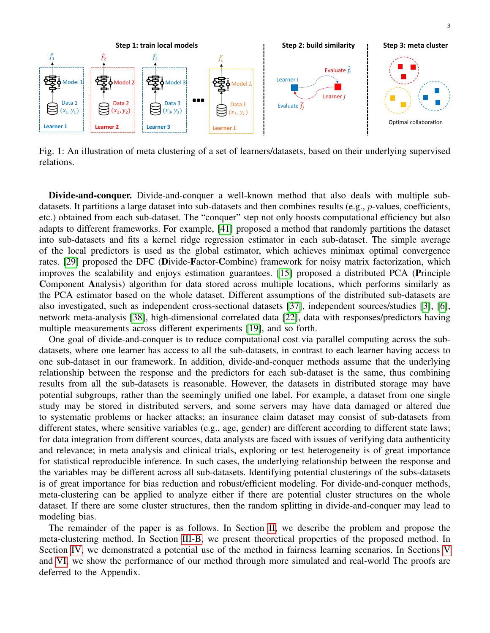<span id="page-2-0"></span>

Fig. 1: An illustration of meta clustering of a set of learners/datasets, based on their underlying supervised relations.

Divide-and-conquer. Divide-and-conquer a well-known method that also deals with multiple subdatasets. It partitions a large dataset into sub-datasets and then combines results (e.g., p-values, coefficients, etc.) obtained from each sub-dataset. The "conquer" step not only boosts computational efficiency but also adapts to different frameworks. For example, [\[41\]](#page-14-0) proposed a method that randomly partitions the dataset into sub-datasets and fits a kernel ridge regression estimator in each sub-dataset. The simple average of the local predictors is used as the global estimator, which achieves minimax optimal convergence rates. [\[29\]](#page-13-6) proposed the DFC (Divide-Factor-Combine) framework for noisy matrix factorization, which improves the scalability and enjoys estimation guarantees. [\[15\]](#page-13-7) proposed a distributed PCA (Principle Component Analysis) algorithm for data stored across multiple locations, which performs similarly as the PCA estimator based on the whole dataset. Different assumptions of the distributed sub-datasets are also investigated, such as independent cross-sectional datasets [\[37\]](#page-14-1), independent sources/studies [\[3\]](#page-13-8), [\[6\]](#page-13-9), network meta-analysis [\[38\]](#page-14-2), high-dimensional correlated data [\[22\]](#page-13-10), data with responses/predictors having multiple measurements across different experiments [\[19\]](#page-13-11), and so forth.

One goal of divide-and-conquer is to reduce computational cost via parallel computing across the subdatasets, where one learner has access to all the sub-datasets, in contrast to each learner having access to one sub-dataset in our framework. In addition, divide-and-conquer methods assume that the underlying relationship between the response and the predictors for each sub-dataset is the same, thus combining results from all the sub-datasets is reasonable. However, the datasets in distributed storage may have potential subgroups, rather than the seemingly unified one label. For example, a dataset from one single study may be stored in distributed servers, and some servers may have data damaged or altered due to systematic problems or hacker attacks; an insurance claim dataset may consist of sub-datasets from different states, where sensitive variables (e.g., age, gender) are different according to different state laws; for data integration from different sources, data analysts are faced with issues of verifying data authenticity and relevance; in meta analysis and clinical trials, exploring or test heterogeneity is of great importance for statistical reproducible inference. In such cases, the underlying relationship between the response and the variables may be different across all sub-datasets. Identifying potential clusterings of the subs-datasets is of great importance for bias reduction and robust/efficient modeling. For divide-and-conquer methods, meta-clustering can be applied to analyze either if there are potential cluster structures on the whole dataset. If there are some cluster structures, then the random splitting in divide-and-conquer may lead to modeling bias.

The remainder of the paper is as follows. In Section [II,](#page-3-0) we describe the problem and propose the meta-clustering method. In Section [III-B,](#page-5-0) we present theoretical properties of the proposed method. In Section [IV,](#page-5-1) we demonstrated a potential use of the method in fairness learning scenarios. In Sections [V](#page-7-0) and [VI,](#page-10-0) we show the performance of our method through more simulated and real-world The proofs are deferred to the Appendix.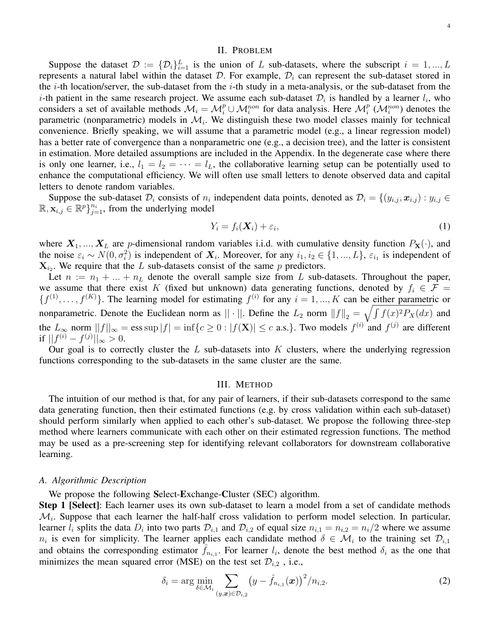#### II. PROBLEM

<span id="page-3-0"></span>Suppose the dataset  $\mathcal{D} := \{ \mathcal{D}_i \}_{i=1}^L$  is the union of L sub-datasets, where the subscript  $i = 1, ..., L$ represents a natural label within the dataset  $D$ . For example,  $D<sub>i</sub>$  can represent the sub-dataset stored in the *i*-th location/server, the sub-dataset from the *i*-th study in a meta-analysis, or the sub-dataset from the *i*-th patient in the same research project. We assume each sub-dataset  $\mathcal{D}_i$  is handled by a learner  $l_i$ , who considers a set of available methods  $\mathcal{M}_i = \mathcal{M}_i^p \cup \mathcal{M}_i^{non}$  for data analysis. Here  $\mathcal{M}_i^p$  ( $\mathcal{M}_i^{non}$ ) denotes the parametric (nonparametric) models in  $\mathcal{M}_i$ . We distinguish these two model classes mainly for technical convenience. Briefly speaking, we will assume that a parametric model (e.g., a linear regression model) has a better rate of convergence than a nonparametric one (e.g., a decision tree), and the latter is consistent in estimation. More detailed assumptions are included in the Appendix. In the degenerate case where there is only one learner, i.e.,  $l_1 = l_2 = \cdots = l_L$ , the collaborative learning setup can be potentially used to enhance the computational efficiency. We will often use small letters to denote observed data and capital letters to denote random variables.

Suppose the sub-dataset  $\mathcal{D}_i$  consists of  $n_i$  independent data points, denoted as  $\mathcal{D}_i = \{(y_{i,j}, x_{i,j}) : y_{i,j} \in \mathcal{D}_i\}$  $\mathbb{R}, \mathbf{x}_{i,j} \in \mathbb{R}^p$   $\}_{j=1}^{n_i}$ , from the underlying model

$$
Y_i = f_i(\mathbf{X}_i) + \varepsilon_i,\tag{1}
$$

where  $X_1, ..., X_L$  are p-dimensional random variables i.i.d. with cumulative density function  $P_X(\cdot)$ , and the noise  $\varepsilon_i \sim N(0, \sigma_i^2)$  is independent of  $X_i$ . Moreover, for any  $i_1, i_2 \in \{1, ..., L\}$ ,  $\varepsilon_{i_1}$  is independent of  $X_{i_2}$ . We require that the L sub-datasets consist of the same p predictors.

Let  $n := n_1 + ... + n_L$  denote the overall sample size from L sub-datasets. Throughout the paper, we assume that there exist K (fixed but unknown) data generating functions, denoted by  $f_i \in \mathcal{F}$  =  $\{f^{(1)}, \ldots, f^{(K)}\}.$  The learning model for estimating  $f^{(i)}$  for any  $i = 1, \ldots, K$  can be either parametric or nonparametric. Denote the Euclidean norm as  $||\cdot||$ . Define the  $L_2$  norm  $||f||_2 = \sqrt{\int f(x)^2 P_X(dx)}$  and the  $L_{\infty}$  norm  $||f||_{\infty} = \text{ess}\sup |f| = \inf\{c \ge 0 : |f(\mathbf{X})| \le c \text{ a.s.}\}\.$  Two models  $f^{(i)}$  and  $f^{(j)}$  are different if  $||f^{(i)} - f^{(j)}||_{\infty} > 0.$ 

Our goal is to correctly cluster the  $L$  sub-datasets into  $K$  clusters, where the underlying regression functions corresponding to the sub-datasets in the same cluster are the same.

## III. METHOD

The intuition of our method is that, for any pair of learners, if their sub-datasets correspond to the same data generating function, then their estimated functions (e.g. by cross validation within each sub-dataset) should perform similarly when applied to each other's sub-dataset. We propose the following three-step method where learners communicate with each other on their estimated regression functions. The method may be used as a pre-screening step for identifying relevant collaborators for downstream collaborative learning.

#### *A. Algorithmic Description*

We propose the following Select-Exchange-Cluster (SEC) algorithm.

Step 1 [Select]: Each learner uses its own sub-dataset to learn a model from a set of candidate methods  $\mathcal{M}_i$ . Suppose that each learner the half-half cross validation to perform model selection. In particular, learner  $l_i$  splits the data  $D_i$  into two parts  $D_{i,1}$  and  $D_{i,2}$  of equal size  $n_{i,1} = n_{i,2} = n_i/2$  where we assume  $n_i$  is even for simplicity. The learner applies each candidate method  $\delta \in \mathcal{M}_i$  to the training set  $\mathcal{D}_{i,1}$ and obtains the corresponding estimator  $\hat{f}_{n_{i,1}}$ . For learner  $l_i$ , denote the best method  $\delta_i$  as the one that minimizes the mean squared error (MSE) on the test set  $\mathcal{D}_{i,2}$ , i.e.,

$$
\delta_i = \arg \min_{\delta \in \mathcal{M}_i} \sum_{(y,\bm{x}) \in \mathcal{D}_{i,2}} \left( y - \hat{f}_{n_{i,1}}(\bm{x}) \right)^2 / n_{i,2}.
$$
 (2)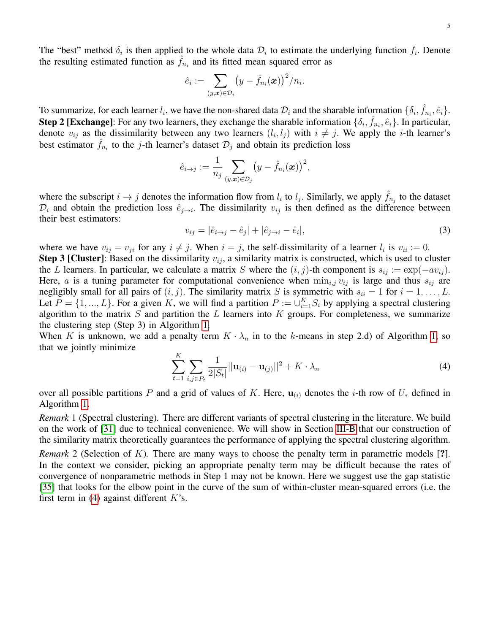The "best" method  $\delta_i$  is then applied to the whole data  $\mathcal{D}_i$  to estimate the underlying function  $f_i$ . Denote the resulting estimated function as  $\hat{f}_{n_i}$  and its fitted mean squared error as

$$
\hat{e}_i := \sum_{(y,\bm{x})\in\mathcal{D}_i} \bigl(y - \hat{f}_{n_i}(\bm{x})\bigr)^2 / n_i.
$$

To summarize, for each learner  $l_i$ , we have the non-shared data  $\mathcal{D}_i$  and the sharable information  $\{\delta_i, \hat{f}_{n_i}, \hat{e}_i\}$ . **Step 2 [Exchange]:** For any two learners, they exchange the sharable information  $\{\delta_i, \hat{f}_{n_i}, \hat{e}_i\}$ . In particular, denote  $v_{ij}$  as the dissimilarity between any two learners  $(l_i, l_j)$  with  $i \neq j$ . We apply the *i*-th learner's best estimator  $\hat{f}_{n_i}$  to the j-th learner's dataset  $\mathcal{D}_j$  and obtain its prediction loss

$$
\hat{e}_{i \to j} := \frac{1}{n_j} \sum_{(y,\boldsymbol{x}) \in \mathcal{D}_j} \big(y - \hat{f}_{n_i}(\boldsymbol{x})\big)^2,
$$

where the subscript  $i \to j$  denotes the information flow from  $l_i$  to  $l_j$ . Similarly, we apply  $\hat{f}_{n_j}$  to the dataset  $\mathcal{D}_i$  and obtain the prediction loss  $\hat{e}_{j\to i}$ . The dissimilarity  $v_{ij}$  is then defined as the difference between their best estimators:

<span id="page-4-1"></span>
$$
v_{ij} = |\hat{e}_{i \to j} - \hat{e}_j| + |\hat{e}_{j \to i} - \hat{e}_i|,\tag{3}
$$

where we have  $v_{ij} = v_{ji}$  for any  $i \neq j$ . When  $i = j$ , the self-dissimilarity of a learner  $l_i$  is  $v_{ii} := 0$ .

**Step 3 [Cluster]**: Based on the dissimilarity  $v_{ij}$ , a similarity matrix is constructed, which is used to cluster the L learners. In particular, we calculate a matrix S where the  $(i, j)$ -th component is  $s_{ij} := \exp(-av_{ij})$ . Here, a is a tuning parameter for computational convenience when  $\min_{i,j} v_{ij}$  is large and thus  $s_{ij}$  are negligibly small for all pairs of  $(i, j)$ . The similarity matrix S is symmetric with  $s_{ii} = 1$  for  $i = 1, ..., L$ . Let  $P = \{1, ..., L\}$ . For a given K, we will find a partition  $P := \bigcup_{i=1}^{K} S_i$  by applying a spectral clustering algorithm to the matrix  $S$  and partition the  $L$  learners into  $K$  groups. For completeness, we summarize the clustering step (Step 3) in Algorithm [1.](#page-5-2)

When K is unknown, we add a penalty term  $K \cdot \lambda_n$  in to the k-means in step 2.d) of Algorithm [1,](#page-5-2) so that we jointly minimize

<span id="page-4-0"></span>
$$
\sum_{t=1}^{K} \sum_{i,j \in P_t} \frac{1}{2|S_t|} ||\mathbf{u}_{(i)} - \mathbf{u}_{(j)}||^2 + K \cdot \lambda_n
$$
\n(4)

over all possible partitions P and a grid of values of K. Here,  $\mathbf{u}_{(i)}$  denotes the i-th row of  $U_*$  defined in Algorithm [1.](#page-5-2)

*Remark* 1 (Spectral clustering)*.* There are different variants of spectral clustering in the literature. We build on the work of [\[31\]](#page-13-12) due to technical convenience. We will show in Section [III-B](#page-5-0) that our construction of the similarity matrix theoretically guarantees the performance of applying the spectral clustering algorithm.

*Remark* 2 (Selection of K). There are many ways to choose the penalty term in parametric models [?]. In the context we consider, picking an appropriate penalty term may be difficult because the rates of convergence of nonparametric methods in Step 1 may not be known. Here we suggest use the gap statistic [\[35\]](#page-14-3) that looks for the elbow point in the curve of the sum of within-cluster mean-squared errors (i.e. the first term in [\(4\)](#page-4-0) against different  $K$ 's.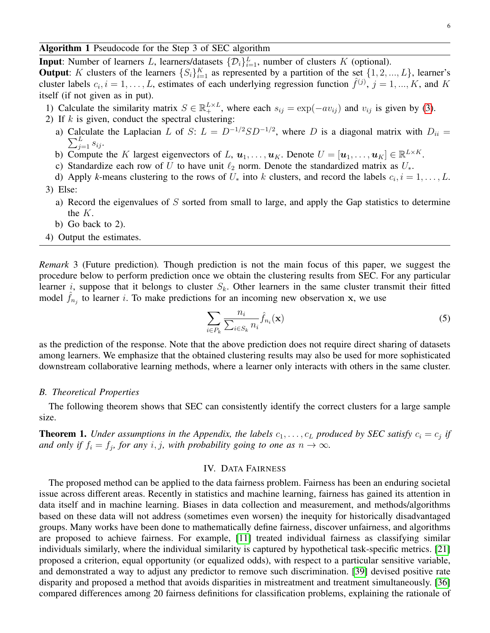<span id="page-5-2"></span>Algorithm 1 Pseudocode for the Step 3 of SEC algorithm

**Input**: Number of learners L, learners/datasets  $\{\mathcal{D}_i\}_{i=1}^L$ , number of clusters K (optional).

**Output**: K clusters of the learners  $\{S_i\}_{i=1}^K$  as represented by a partition of the set  $\{1, 2, ..., L\}$ , learner's cluster labels  $c_i$ ,  $i = 1, ..., L$ , estimates of each underlying regression function  $\hat{f}^{(j)}$ ,  $j = 1, ..., K$ , and K itself (if not given as in put).

- 1) Calculate the similarity matrix  $S \in \mathbb{R}^{L \times L}_+$ , where each  $s_{ij} = \exp(-av_{ij})$  and  $v_{ij}$  is given by [\(3\)](#page-4-1).
- 2) If  $k$  is given, conduct the spectral clustering:
	- a) Calculate the Laplacian L of S:  $L = D^{-1/2}SD^{-1/2}$ , where D is a diagonal matrix with  $D_{ii} =$  $\sum_{j=1}^{L} s_{ij}$ .
	- b) Compute the K largest eigenvectors of L,  $\mathbf{u}_1, \ldots, \mathbf{u}_K$ . Denote  $U = [\mathbf{u}_1, \ldots, \mathbf{u}_K] \in \mathbb{R}^{L \times K}$ .
	- c) Standardize each row of U to have unit  $\ell_2$  norm. Denote the standardized matrix as  $U_*$ .
- d) Apply *k*-means clustering to the rows of  $U_*$  into k clusters, and record the labels  $c_i$ ,  $i = 1, \ldots, L$ . 3) Else:
	- a) Record the eigenvalues of  $S$  sorted from small to large, and apply the Gap statistics to determine the K.
	- b) Go back to 2).
- 4) Output the estimates.

*Remark* 3 (Future prediction)*.* Though prediction is not the main focus of this paper, we suggest the procedure below to perform prediction once we obtain the clustering results from SEC. For any particular learner *i*, suppose that it belongs to cluster  $S_k$ . Other learners in the same cluster transmit their fitted model  $\hat{f}_{n_j}$  to learner i. To make predictions for an incoming new observation x, we use

<span id="page-5-3"></span>
$$
\sum_{i \in P_k} \frac{n_i}{\sum_{i \in S_k} n_i} \hat{f}_{n_i}(\mathbf{x}) \tag{5}
$$

as the prediction of the response. Note that the above prediction does not require direct sharing of datasets among learners. We emphasize that the obtained clustering results may also be used for more sophisticated downstream collaborative learning methods, where a learner only interacts with others in the same cluster.

# <span id="page-5-0"></span>*B. Theoretical Properties*

The following theorem shows that SEC can consistently identify the correct clusters for a large sample size.

**Theorem 1.** Under assumptions in the Appendix, the labels  $c_1, \ldots, c_L$  produced by SEC satisfy  $c_i = c_j$  if *and only if*  $f_i = f_j$ , for any i, j, with probability going to one as  $n \to \infty$ .

# IV. DATA FAIRNESS

<span id="page-5-1"></span>The proposed method can be applied to the data fairness problem. Fairness has been an enduring societal issue across different areas. Recently in statistics and machine learning, fairness has gained its attention in data itself and in machine learning. Biases in data collection and measurement, and methods/algorithms based on these data will not address (sometimes even worsen) the inequity for historically disadvantaged groups. Many works have been done to mathematically define fairness, discover unfairness, and algorithms are proposed to achieve fairness. For example, [\[11\]](#page-13-13) treated individual fairness as classifying similar individuals similarly, where the individual similarity is captured by hypothetical task-specific metrics. [\[21\]](#page-13-14) proposed a criterion, equal opportunity (or equalized odds), with respect to a particular sensitive variable, and demonstrated a way to adjust any predictor to remove such discrimination. [\[39\]](#page-14-4) devised positive rate disparity and proposed a method that avoids disparities in mistreatment and treatment simultaneously. [\[36\]](#page-14-5) compared differences among 20 fairness definitions for classification problems, explaining the rationale of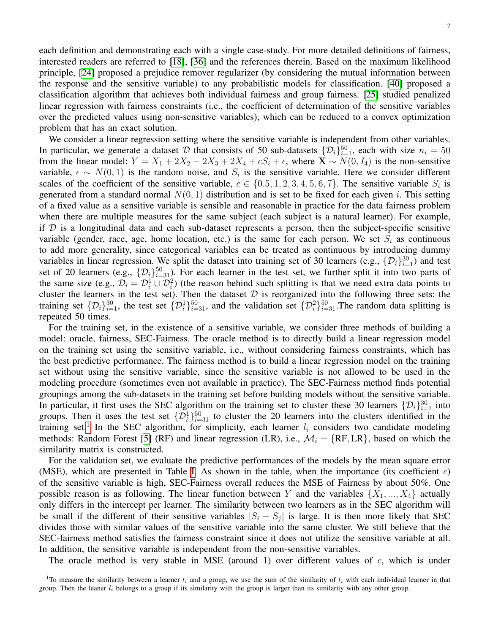each definition and demonstrating each with a single case-study. For more detailed definitions of fairness, interested readers are referred to [\[18\]](#page-13-15), [\[36\]](#page-14-5) and the references therein. Based on the maximum likelihood principle, [\[24\]](#page-13-16) proposed a prejudice remover regularizer (by considering the mutual information between the response and the sensitive variable) to any probabilistic models for classification. [\[40\]](#page-14-6) proposed a classification algorithm that achieves both individual fairness and group fairness. [\[25\]](#page-13-17) studied penalized linear regression with fairness constraints (i.e., the coefficient of determination of the sensitive variables over the predicted values using non-sensitive variables), which can be reduced to a convex optimization problem that has an exact solution.

We consider a linear regression setting where the sensitive variable is independent from other variables. In particular, we generate a dataset D that consists of 50 sub-datasets  $\{\mathcal{D}_i\}_{i=1}^{50}$ , each with size  $n_i = 50$ from the linear model:  $Y = X_1 + 2X_2 - 2X_3 + 2X_4 + cS_4 + \epsilon$ , where  $\mathbf{X} \sim N(0, I_4)$  is the non-sensitive variable,  $\epsilon \sim N(0, 1)$  is the random noise, and  $S_i$  is the sensitive variable. Here we consider different scales of the coefficient of the sensitive variable,  $c \in \{0.5, 1, 2, 3, 4, 5, 6, 7\}$ . The sensitive variable  $S_i$  is generated from a standard normal  $N(0, 1)$  distribution and is set to be fixed for each given i. This setting of a fixed value as a sensitive variable is sensible and reasonable in practice for the data fairness problem when there are multiple measures for the same subject (each subject is a natural learner). For example, if  $D$  is a longitudinal data and each sub-dataset represents a person, then the subject-specific sensitive variable (gender, race, age, home location, etc.) is the same for each person. We set  $S_i$  as continuous to add more generality, since categorical variables can be treated as continuous by introducing dummy variables in linear regression. We split the dataset into training set of 30 learners (e.g.,  $\{\mathcal{D}_i\}_{i=1}^{30}$ ) and test set of 20 learners (e.g.,  $\{\mathcal{D}_i\}_{i=31}^{50}$ ). For each learner in the test set, we further split it into two parts of the same size (e.g.,  $\mathcal{D}_i = \mathcal{D}_i^1 \cup \mathcal{D}_i^2$ ) (the reason behind such splitting is that we need extra data points to cluster the learners in the test set). Then the dataset  $D$  is reorganized into the following three sets: the training set  $\{\mathcal{D}_i\}_{i=1}^{30}$ , the test set  $\{\mathcal{D}_i^1\}_{i=31}^{50}$ , and the validation set  $\{\mathcal{D}_i^2\}_{i=31}^{50}$ . The random data splitting is repeated 50 times.

For the training set, in the existence of a sensitive variable, we consider three methods of building a model: oracle, fairness, SEC-Fairness. The oracle method is to directly build a linear regression model on the training set using the sensitive variable, i.e., without considering fairness constraints, which has the best predictive performance. The fairness method is to build a linear regression model on the training set without using the sensitive variable, since the sensitive variable is not allowed to be used in the modeling procedure (sometimes even not available in practice). The SEC-Fairness method finds potential groupings among the sub-datasets in the training set before building models without the sensitive variable. In particular, it first uses the SEC algorithm on the training set to cluster these 30 learners  $\{\mathcal{D}_i\}_{i=1}^{30}$  into groups. Then it uses the test set  $\{\mathcal{D}_{i}^{1}\}_{i=31}^{50}$  to cluster the 20 learners into the clusters identified in the training set.<sup>[1](#page-6-0)</sup> In the SEC algorithm, for simplicity, each learner  $l_i$  considers two candidate modeling methods: Random Forest [\[5\]](#page-13-18) (RF) and linear regression (LR), i.e.,  $\mathcal{M}_i = \{RF, LR\}$ , based on which the similarity matrix is constructed.

For the validation set, we evaluate the predictive performances of the models by the mean square error (MSE), which are presented in Table [I.](#page-7-1) As shown in the table, when the importance (its coefficient  $c$ ) of the sensitive variable is high, SEC-Fairness overall reduces the MSE of Fairness by about 50%. One possible reason is as following. The linear function between Y and the variables  $\{X_1, ..., X_4\}$  actually only differs in the intercept per learner. The similarity between two learners as in the SEC algorithm will be small if the different of their sensitive variables  $|S_i - S_j|$  is large. It is then more likely that SEC divides those with similar values of the sensitive variable into the same cluster. We still believe that the SEC-fairness method satisfies the fairness constraint since it does not utilize the sensitive variable at all. In addition, the sensitive variable is independent from the non-sensitive variables.

The oracle method is very stable in MSE (around 1) over different values of  $c$ , which is under

<span id="page-6-0"></span><sup>&</sup>lt;sup>1</sup>To measure the similarity between a learner  $l_i$  and a group, we use the sum of the similarity of  $l_i$  with each individual learner in that group. Then the leaner  $l_i$  belongs to a group if its similarity with the group is larger than its similarity with any other group.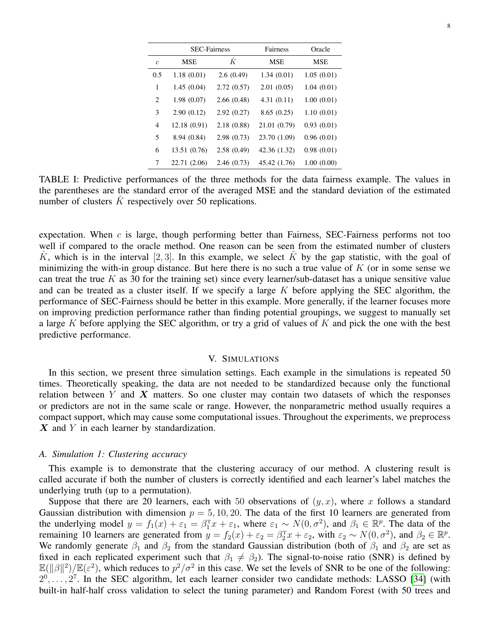<span id="page-7-1"></span>

|                  | <b>SEC-Fairness</b> |            | Fairness     | Oracle     |
|------------------|---------------------|------------|--------------|------------|
| $\boldsymbol{c}$ | MSE                 | ΪĊ         | <b>MSE</b>   | <b>MSE</b> |
| 0.5              | 1.18(0.01)          | 2.6(0.49)  | 1.34(0.01)   | 1.05(0.01) |
| 1                | 1.45(0.04)          | 2.72(0.57) | 2.01(0.05)   | 1.04(0.01) |
| 2                | 1.98(0.07)          | 2.66(0.48) | 4.31(0.11)   | 1.00(0.01) |
| 3                | 2.90(0.12)          | 2.92(0.27) | 8.65(0.25)   | 1.10(0.01) |
| 4                | 12.18 (0.91)        | 2.18(0.88) | 21.01 (0.79) | 0.93(0.01) |
| 5                | 8.94 (0.84)         | 2.98(0.73) | 23.70 (1.09) | 0.96(0.01) |
| 6                | 13.51 (0.76)        | 2.58(0.49) | 42.36 (1.32) | 0.98(0.01) |
| 7                | 22.71 (2.06)        | 2.46(0.73) | 45.42 (1.76) | 1.00(0.00) |

TABLE I: Predictive performances of the three methods for the data fairness example. The values in the parentheses are the standard error of the averaged MSE and the standard deviation of the estimated number of clusters  $K$  respectively over 50 replications.

expectation. When  $c$  is large, though performing better than Fairness, SEC-Fairness performs not too well if compared to the oracle method. One reason can be seen from the estimated number of clusters K<sup> $K$ </sup>, which is in the interval [2, 3]. In this example, we select K<sup>o</sup> by the gap statistic, with the goal of minimizing the with-in group distance. But here there is no such a true value of  $K$  (or in some sense we can treat the true  $K$  as 30 for the training set) since every learner/sub-dataset has a unique sensitive value and can be treated as a cluster itself. If we specify a large  $K$  before applying the SEC algorithm, the performance of SEC-Fairness should be better in this example. More generally, if the learner focuses more on improving prediction performance rather than finding potential groupings, we suggest to manually set a large K before applying the SEC algorithm, or try a grid of values of K and pick the one with the best predictive performance.

# V. SIMULATIONS

<span id="page-7-0"></span>In this section, we present three simulation settings. Each example in the simulations is repeated 50 times. Theoretically speaking, the data are not needed to be standardized because only the functional relation between Y and X matters. So one cluster may contain two datasets of which the responses or predictors are not in the same scale or range. However, the nonparametric method usually requires a compact support, which may cause some computational issues. Throughout the experiments, we preprocess  $\boldsymbol{X}$  and Y in each learner by standardization.

## *A. Simulation 1: Clustering accuracy*

This example is to demonstrate that the clustering accuracy of our method. A clustering result is called accurate if both the number of clusters is correctly identified and each learner's label matches the underlying truth (up to a permutation).

Suppose that there are 20 learners, each with 50 observations of  $(y, x)$ , where x follows a standard Gaussian distribution with dimension  $p = 5, 10, 20$ . The data of the first 10 learners are generated from the underlying model  $y = f_1(x) + \varepsilon_1 = \beta_1^T x + \varepsilon_1$ , where  $\varepsilon_1 \sim N(0, \sigma^2)$ , and  $\beta_1 \in \mathbb{R}^p$ . The data of the remaining 10 learners are generated from  $y = f_2(x) + \varepsilon_2 = \beta_2^T x + \varepsilon_2$ , with  $\varepsilon_2 \sim N(0, \sigma^2)$ , and  $\beta_2 \in \mathbb{R}^p$ . We randomly generate  $\beta_1$  and  $\beta_2$  from the standard Gaussian distribution (both of  $\beta_1$  and  $\beta_2$  are set as fixed in each replicated experiment such that  $\beta_1 \neq \beta_2$ ). The signal-to-noise ratio (SNR) is defined by  $\mathbb{E}(\|\beta\|^2)/\mathbb{E}(\varepsilon^2)$ , which reduces to  $p^2/\sigma^2$  in this case. We set the levels of SNR to be one of the following:  $2^0, \ldots, 2^7$ . In the SEC algorithm, let each learner consider two candidate methods: LASSO [\[34\]](#page-13-19) (with built-in half-half cross validation to select the tuning parameter) and Random Forest (with 50 trees and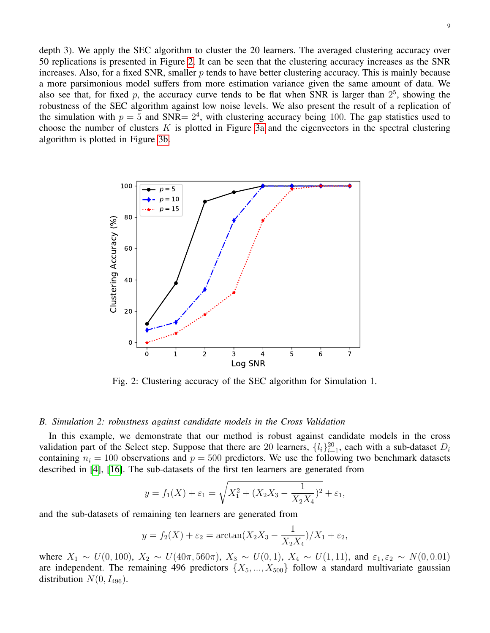depth 3). We apply the SEC algorithm to cluster the 20 learners. The averaged clustering accuracy over 50 replications is presented in Figure [2.](#page-8-0) It can be seen that the clustering accuracy increases as the SNR increases. Also, for a fixed SNR, smaller  $p$  tends to have better clustering accuracy. This is mainly because a more parsimonious model suffers from more estimation variance given the same amount of data. We also see that, for fixed p, the accuracy curve tends to be flat when SNR is larger than  $2^5$ , showing the robustness of the SEC algorithm against low noise levels. We also present the result of a replication of the simulation with  $p = 5$  and SNR=  $2<sup>4</sup>$ , with clustering accuracy being 100. The gap statistics used to choose the number of clusters  $K$  is plotted in Figure [3a](#page-9-0) and the eigenvectors in the spectral clustering algorithm is plotted in Figure [3b.](#page-9-0)

<span id="page-8-0"></span>

Fig. 2: Clustering accuracy of the SEC algorithm for Simulation 1.

#### *B. Simulation 2: robustness against candidate models in the Cross Validation*

In this example, we demonstrate that our method is robust against candidate models in the cross validation part of the Select step. Suppose that there are 20 learners,  $\{l_i\}_{i=1}^{20}$ , each with a sub-dataset  $D_i$ containing  $n_i = 100$  observations and  $p = 500$  predictors. We use the following two benchmark datasets described in [\[4\]](#page-13-20), [\[16\]](#page-13-21). The sub-datasets of the first ten learners are generated from

$$
y = f_1(X) + \varepsilon_1 = \sqrt{X_1^2 + (X_2X_3 - \frac{1}{X_2X_4})^2} + \varepsilon_1,
$$

and the sub-datasets of remaining ten learners are generated from

$$
y = f_2(X) + \varepsilon_2 = \arctan(X_2X_3 - \frac{1}{X_2X_4})/X_1 + \varepsilon_2,
$$

where  $X_1 \sim U(0, 100)$ ,  $X_2 \sim U(40\pi, 560\pi)$ ,  $X_3 \sim U(0, 1)$ ,  $X_4 \sim U(1, 11)$ , and  $\varepsilon_1, \varepsilon_2 \sim N(0, 0.01)$ are independent. The remaining 496 predictors  $\{X_5, ..., X_{500}\}\$  follow a standard multivariate gaussian distribution  $N(0, I_{496})$ .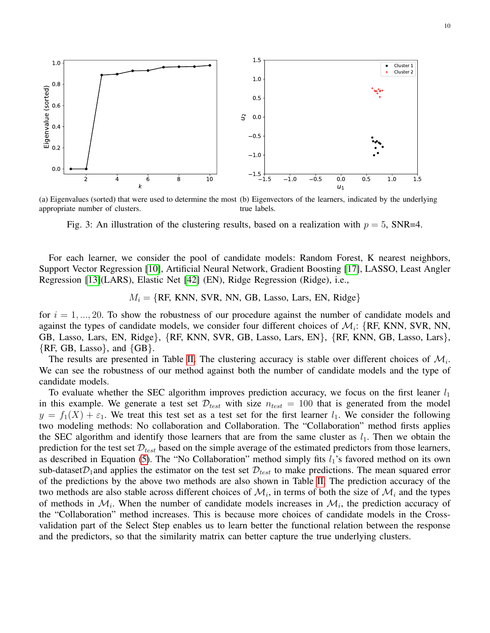<span id="page-9-0"></span>

(a) Eigenvalues (sorted) that were used to determine the most (b) Eigenvectors of the learners, indicated by the underlying appropriate number of clusters. true labels.

Fig. 3: An illustration of the clustering results, based on a realization with  $p = 5$ , SNR=4.

For each learner, we consider the pool of candidate models: Random Forest, K nearest neighbors, Support Vector Regression [\[10\]](#page-13-22), Artificial Neural Network, Gradient Boosting [\[17\]](#page-13-23), LASSO, Least Angler Regression [\[13\]](#page-13-24)(LARS), Elastic Net [\[42\]](#page-14-7) (EN), Ridge Regression (Ridge), i.e.,

 $M_i = \{RF, KNN, SVR, NN, GB, Lasso, Lars, EN, Ridge\}$ 

for  $i = 1, \ldots, 20$ . To show the robustness of our procedure against the number of candidate models and against the types of candidate models, we consider four different choices of  $\mathcal{M}_i$ : {RF, KNN, SVR, NN, GB, Lasso, Lars, EN, Ridge}, {RF, KNN, SVR, GB, Lasso, Lars, EN}, {RF, KNN, GB, Lasso, Lars},  ${RR, GB, Lasso}$ , and  ${GB}$ .

The results are presented in Table [II.](#page-10-1) The clustering accuracy is stable over different choices of  $\mathcal{M}_i$ . We can see the robustness of our method against both the number of candidate models and the type of candidate models.

To evaluate whether the SEC algorithm improves prediction accuracy, we focus on the first leaner  $l_1$ in this example. We generate a test set  $\mathcal{D}_{test}$  with size  $n_{test} = 100$  that is generated from the model  $y = f_1(X) + \varepsilon_1$ . We treat this test set as a test set for the first learner  $l_1$ . We consider the following two modeling methods: No collaboration and Collaboration. The "Collaboration" method firsts applies the SEC algorithm and identify those learners that are from the same cluster as  $l_1$ . Then we obtain the prediction for the test set  $\mathcal{D}_{test}$  based on the simple average of the estimated predictors from those learners, as described in Equation [\(5\)](#page-5-3). The "No Collaboration" method simply fits  $l_1$ 's favored method on its own sub-dataset  $\mathcal{D}_1$  and applies the estimator on the test set  $\mathcal{D}_{test}$  to make predictions. The mean squared error of the predictions by the above two methods are also shown in Table [II.](#page-10-1) The prediction accuracy of the two methods are also stable across different choices of  $\mathcal{M}_i$ , in terms of both the size of  $\mathcal{M}_i$  and the types of methods in  $\mathcal{M}_i$ . When the number of candidate models increases in  $\mathcal{M}_i$ , the prediction accuracy of the "Collaboration" method increases. This is because more choices of candidate models in the Crossvalidation part of the Select Step enables us to learn better the functional relation between the response and the predictors, so that the similarity matrix can better capture the true underlying clusters.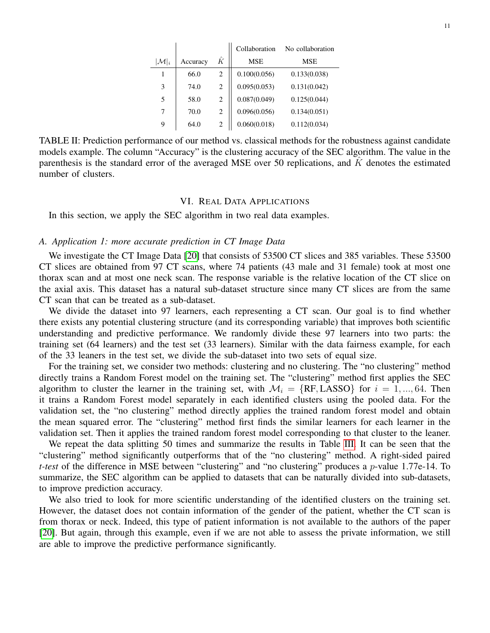|                   |          |   | Collaboration | No collaboration |
|-------------------|----------|---|---------------|------------------|
| $ \mathcal{M} _i$ | Accuracy | Ŕ | <b>MSE</b>    | MSE              |
| 1                 | 66.0     | 2 | 0.100(0.056)  | 0.133(0.038)     |
| 3                 | 74.0     | 2 | 0.095(0.053)  | 0.131(0.042)     |
| 5                 | 58.0     | 2 | 0.087(0.049)  | 0.125(0.044)     |
| 7                 | 70.0     | 2 | 0.096(0.056)  | 0.134(0.051)     |
| 9                 | 64.0     | 2 | 0.060(0.018)  | 0.112(0.034)     |

<span id="page-10-1"></span>TABLE II: Prediction performance of our method vs. classical methods for the robustness against candidate models example. The column "Accuracy" is the clustering accuracy of the SEC algorithm. The value in the parenthesis is the standard error of the averaged MSE over 50 replications, and  $\tilde{K}$  denotes the estimated number of clusters.

## VI. REAL DATA APPLICATIONS

<span id="page-10-0"></span>In this section, we apply the SEC algorithm in two real data examples.

# *A. Application 1: more accurate prediction in CT Image Data*

We investigate the CT Image Data [\[20\]](#page-13-25) that consists of 53500 CT slices and 385 variables. These 53500 CT slices are obtained from 97 CT scans, where 74 patients (43 male and 31 female) took at most one thorax scan and at most one neck scan. The response variable is the relative location of the CT slice on the axial axis. This dataset has a natural sub-dataset structure since many CT slices are from the same CT scan that can be treated as a sub-dataset.

We divide the dataset into 97 learners, each representing a CT scan. Our goal is to find whether there exists any potential clustering structure (and its corresponding variable) that improves both scientific understanding and predictive performance. We randomly divide these 97 learners into two parts: the training set (64 learners) and the test set (33 learners). Similar with the data fairness example, for each of the 33 leaners in the test set, we divide the sub-dataset into two sets of equal size.

For the training set, we consider two methods: clustering and no clustering. The "no clustering" method directly trains a Random Forest model on the training set. The "clustering" method first applies the SEC algorithm to cluster the learner in the training set, with  $\mathcal{M}_i = \{RF, LASSO\}$  for  $i = 1, ..., 64$ . Then it trains a Random Forest model separately in each identified clusters using the pooled data. For the validation set, the "no clustering" method directly applies the trained random forest model and obtain the mean squared error. The "clustering" method first finds the similar learners for each learner in the validation set. Then it applies the trained random forest model corresponding to that cluster to the leaner.

We repeat the data splitting 50 times and summarize the results in Table [III.](#page-11-0) It can be seen that the "clustering" method significantly outperforms that of the "no clustering" method. A right-sided paired *t-test* of the difference in MSE between "clustering" and "no clustering" produces a p-value 1.77e-14. To summarize, the SEC algorithm can be applied to datasets that can be naturally divided into sub-datasets, to improve prediction accuracy.

We also tried to look for more scientific understanding of the identified clusters on the training set. However, the dataset does not contain information of the gender of the patient, whether the CT scan is from thorax or neck. Indeed, this type of patient information is not available to the authors of the paper [\[20\]](#page-13-25). But again, through this example, even if we are not able to assess the private information, we still are able to improve the predictive performance significantly.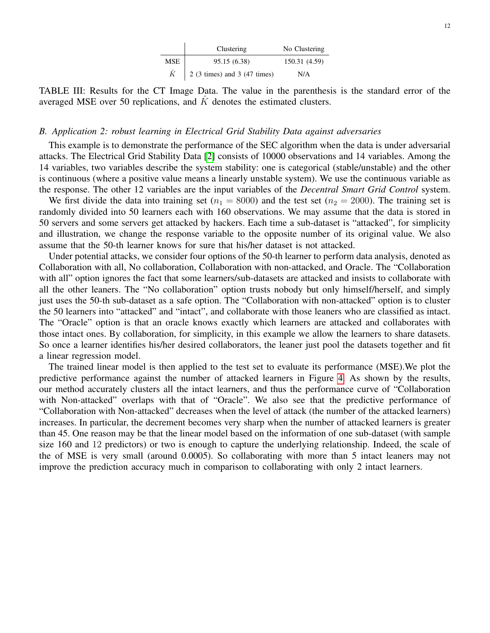|           | Clustering                           | No Clustering |
|-----------|--------------------------------------|---------------|
| MSE       | 95.15 (6.38)                         | 150.31 (4.59) |
| $\hat{K}$ | $\vert$ 2 (3 times) and 3 (47 times) | N/A           |

<span id="page-11-0"></span>TABLE III: Results for the CT Image Data. The value in the parenthesis is the standard error of the averaged MSE over 50 replications, and  $\tilde{K}$  denotes the estimated clusters.

# *B. Application 2: robust learning in Electrical Grid Stability Data against adversaries*

This example is to demonstrate the performance of the SEC algorithm when the data is under adversarial attacks. The Electrical Grid Stability Data [\[2\]](#page-13-26) consists of 10000 observations and 14 variables. Among the 14 variables, two variables describe the system stability: one is categorical (stable/unstable) and the other is continuous (where a positive value means a linearly unstable system). We use the continuous variable as the response. The other 12 variables are the input variables of the *Decentral Smart Grid Control* system.

We first divide the data into training set ( $n_1 = 8000$ ) and the test set ( $n_2 = 2000$ ). The training set is randomly divided into 50 learners each with 160 observations. We may assume that the data is stored in 50 servers and some servers get attacked by hackers. Each time a sub-dataset is "attacked", for simplicity and illustration, we change the response variable to the opposite number of its original value. We also assume that the 50-th learner knows for sure that his/her dataset is not attacked.

Under potential attacks, we consider four options of the 50-th learner to perform data analysis, denoted as Collaboration with all, No collaboration, Collaboration with non-attacked, and Oracle. The "Collaboration with all" option ignores the fact that some learners/sub-datasets are attacked and insists to collaborate with all the other leaners. The "No collaboration" option trusts nobody but only himself/herself, and simply just uses the 50-th sub-dataset as a safe option. The "Collaboration with non-attacked" option is to cluster the 50 learners into "attacked" and "intact", and collaborate with those leaners who are classified as intact. The "Oracle" option is that an oracle knows exactly which learners are attacked and collaborates with those intact ones. By collaboration, for simplicity, in this example we allow the learners to share datasets. So once a learner identifies his/her desired collaborators, the leaner just pool the datasets together and fit a linear regression model.

The trained linear model is then applied to the test set to evaluate its performance (MSE).We plot the predictive performance against the number of attacked learners in Figure [4.](#page-12-0) As shown by the results, our method accurately clusters all the intact learners, and thus the performance curve of "Collaboration with Non-attacked" overlaps with that of "Oracle". We also see that the predictive performance of "Collaboration with Non-attacked" decreases when the level of attack (the number of the attacked learners) increases. In particular, the decrement becomes very sharp when the number of attacked learners is greater than 45. One reason may be that the linear model based on the information of one sub-dataset (with sample size 160 and 12 predictors) or two is enough to capture the underlying relationship. Indeed, the scale of the of MSE is very small (around 0.0005). So collaborating with more than 5 intact leaners may not improve the prediction accuracy much in comparison to collaborating with only 2 intact learners.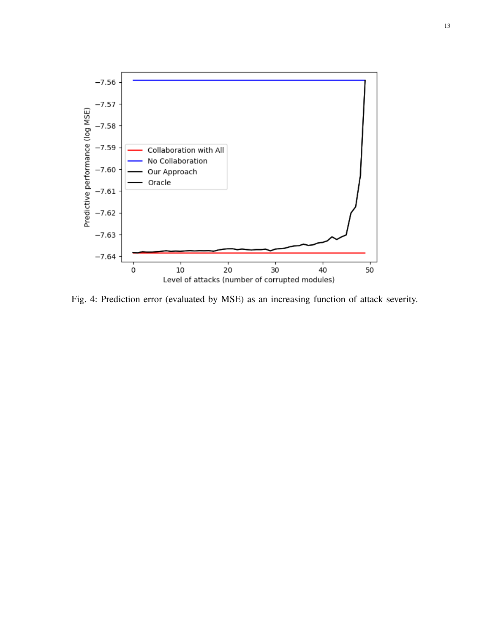<span id="page-12-0"></span>

Fig. 4: Prediction error (evaluated by MSE) as an increasing function of attack severity.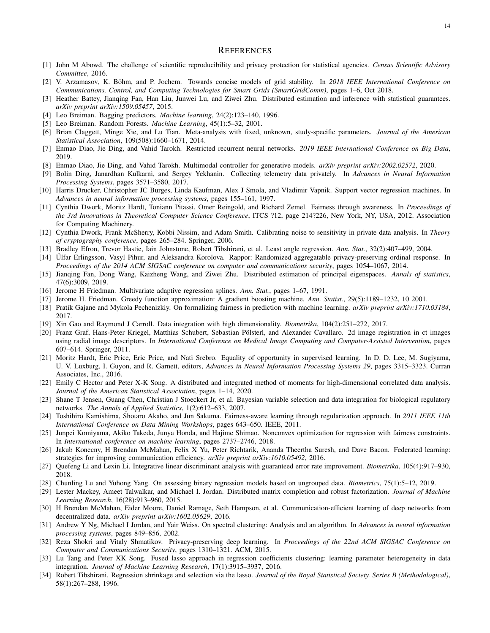#### **REFERENCES**

- [1] John M Abowd. The challenge of scientific reproducibility and privacy protection for statistical agencies. *Census Scientific Advisory Committee*, 2016.
- <span id="page-13-26"></span>[2] V. Arzamasov, K. Böhm, and P. Jochem. Towards concise models of grid stability. In 2018 IEEE International Conference on *Communications, Control, and Computing Technologies for Smart Grids (SmartGridComm)*, pages 1–6, Oct 2018.
- <span id="page-13-8"></span>[3] Heather Battey, Jianqing Fan, Han Liu, Junwei Lu, and Ziwei Zhu. Distributed estimation and inference with statistical guarantees. *arXiv preprint arXiv:1509.05457*, 2015.
- <span id="page-13-20"></span>[4] Leo Breiman. Bagging predictors. *Machine learning*, 24(2):123–140, 1996.
- <span id="page-13-18"></span>[5] Leo Breiman. Random Forests. *Machine Learning*, 45(1):5–32, 2001.
- <span id="page-13-9"></span>[6] Brian Claggett, Minge Xie, and Lu Tian. Meta-analysis with fixed, unknown, study-specific parameters. *Journal of the American Statistical Association*, 109(508):1660–1671, 2014.
- [7] Enmao Diao, Jie Ding, and Vahid Tarokh. Restricted recurrent neural networks. *2019 IEEE International Conference on Big Data*, 2019.
- [8] Enmao Diao, Jie Ding, and Vahid Tarokh. Multimodal controller for generative models. *arXiv preprint arXiv:2002.02572*, 2020.
- [9] Bolin Ding, Janardhan Kulkarni, and Sergey Yekhanin. Collecting telemetry data privately. In *Advances in Neural Information Processing Systems*, pages 3571–3580, 2017.
- <span id="page-13-22"></span>[10] Harris Drucker, Christopher JC Burges, Linda Kaufman, Alex J Smola, and Vladimir Vapnik. Support vector regression machines. In *Advances in neural information processing systems*, pages 155–161, 1997.
- <span id="page-13-13"></span>[11] Cynthia Dwork, Moritz Hardt, Toniann Pitassi, Omer Reingold, and Richard Zemel. Fairness through awareness. In *Proceedings of the 3rd Innovations in Theoretical Computer Science Conference*, ITCS ?12, page 214?226, New York, NY, USA, 2012. Association for Computing Machinery.
- [12] Cynthia Dwork, Frank McSherry, Kobbi Nissim, and Adam Smith. Calibrating noise to sensitivity in private data analysis. In *Theory of cryptography conference*, pages 265–284. Springer, 2006.
- <span id="page-13-24"></span>[13] Bradley Efron, Trevor Hastie, Iain Johnstone, Robert Tibshirani, et al. Least angle regression. *Ann. Stat.*, 32(2):407–499, 2004.
- [14] Ulfar Erlingsson, Vasyl Pihur, and Aleksandra Korolova. Rappor: Randomized aggregatable privacy-preserving ordinal response. In ´ *Proceedings of the 2014 ACM SIGSAC conference on computer and communications security*, pages 1054–1067, 2014.
- <span id="page-13-7"></span>[15] Jianqing Fan, Dong Wang, Kaizheng Wang, and Ziwei Zhu. Distributed estimation of principal eigenspaces. *Annals of statistics*, 47(6):3009, 2019.
- <span id="page-13-21"></span>[16] Jerome H Friedman. Multivariate adaptive regression splines. *Ann. Stat.*, pages 1–67, 1991.
- <span id="page-13-23"></span>[17] Jerome H. Friedman. Greedy function approximation: A gradient boosting machine. *Ann. Statist.*, 29(5):1189–1232, 10 2001.
- <span id="page-13-15"></span>[18] Pratik Gajane and Mykola Pechenizkiy. On formalizing fairness in prediction with machine learning. *arXiv preprint arXiv:1710.03184*, 2017.
- <span id="page-13-11"></span>[19] Xin Gao and Raymond J Carroll. Data integration with high dimensionality. *Biometrika*, 104(2):251–272, 2017.
- <span id="page-13-25"></span>[20] Franz Graf, Hans-Peter Kriegel, Matthias Schubert, Sebastian Pölsterl, and Alexander Cavallaro. 2d image registration in ct images using radial image descriptors. In *International Conference on Medical Image Computing and Computer-Assisted Intervention*, pages 607–614. Springer, 2011.
- <span id="page-13-14"></span>[21] Moritz Hardt, Eric Price, Eric Price, and Nati Srebro. Equality of opportunity in supervised learning. In D. D. Lee, M. Sugiyama, U. V. Luxburg, I. Guyon, and R. Garnett, editors, *Advances in Neural Information Processing Systems 29*, pages 3315–3323. Curran Associates, Inc., 2016.
- <span id="page-13-10"></span>[22] Emily C Hector and Peter X-K Song. A distributed and integrated method of moments for high-dimensional correlated data analysis. *Journal of the American Statistical Association*, pages 1–14, 2020.
- <span id="page-13-5"></span>[23] Shane T Jensen, Guang Chen, Christian J Stoeckert Jr, et al. Bayesian variable selection and data integration for biological regulatory networks. *The Annals of Applied Statistics*, 1(2):612–633, 2007.
- <span id="page-13-16"></span>[24] Toshihiro Kamishima, Shotaro Akaho, and Jun Sakuma. Fairness-aware learning through regularization approach. In *2011 IEEE 11th International Conference on Data Mining Workshops*, pages 643–650. IEEE, 2011.
- <span id="page-13-17"></span>[25] Junpei Komiyama, Akiko Takeda, Junya Honda, and Hajime Shimao. Nonconvex optimization for regression with fairness constraints. In *International conference on machine learning*, pages 2737–2746, 2018.
- <span id="page-13-0"></span>[26] Jakub Konecny, H Brendan McMahan, Felix X Yu, Peter Richtarik, Ananda Theertha Suresh, and Dave Bacon. Federated learning: strategies for improving communication efficiency. *arXiv preprint arXiv:1610.05492*, 2016.
- <span id="page-13-4"></span>[27] Quefeng Li and Lexin Li. Integrative linear discriminant analysis with guaranteed error rate improvement. *Biometrika*, 105(4):917–930, 2018.
- [28] Chunling Lu and Yuhong Yang. On assessing binary regression models based on ungrouped data. *Biometrics*, 75(1):5–12, 2019.
- <span id="page-13-6"></span>[29] Lester Mackey, Ameet Talwalkar, and Michael I. Jordan. Distributed matrix completion and robust factorization. *Journal of Machine Learning Research*, 16(28):913–960, 2015.
- <span id="page-13-1"></span>[30] H Brendan McMahan, Eider Moore, Daniel Ramage, Seth Hampson, et al. Communication-efficient learning of deep networks from decentralized data. *arXiv preprint arXiv:1602.05629*, 2016.
- <span id="page-13-12"></span>[31] Andrew Y Ng, Michael I Jordan, and Yair Weiss. On spectral clustering: Analysis and an algorithm. In *Advances in neural information processing systems*, pages 849–856, 2002.
- <span id="page-13-2"></span>[32] Reza Shokri and Vitaly Shmatikov. Privacy-preserving deep learning. In *Proceedings of the 22nd ACM SIGSAC Conference on Computer and Communications Security*, pages 1310–1321. ACM, 2015.
- <span id="page-13-3"></span>[33] Lu Tang and Peter XK Song. Fused lasso approach in regression coefficients clustering: learning parameter heterogeneity in data integration. *Journal of Machine Learning Research*, 17(1):3915–3937, 2016.
- <span id="page-13-19"></span>[34] Robert Tibshirani. Regression shrinkage and selection via the lasso. *Journal of the Royal Statistical Society. Series B (Methodological)*, 58(1):267–288, 1996.